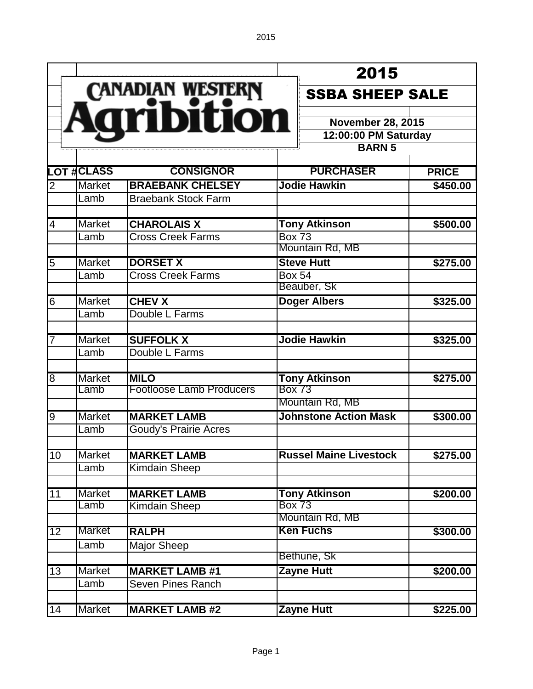|                |                       |                                                       |               | 2015                                                              |              |
|----------------|-----------------------|-------------------------------------------------------|---------------|-------------------------------------------------------------------|--------------|
|                |                       |                                                       |               | <b>SSBA SHEEP SALE</b>                                            |              |
|                |                       | <b>CANADIAN WESTERN</b>                               |               | <b>November 28, 2015</b><br>12:00:00 PM Saturday<br><b>BARN 5</b> |              |
|                | <b>LOT #CLASS</b>     | <b>CONSIGNOR</b>                                      |               | <b>PURCHASER</b>                                                  |              |
|                |                       |                                                       |               |                                                                   | <b>PRICE</b> |
| $\overline{2}$ | <b>Market</b><br>Lamb | <b>BRAEBANK CHELSEY</b><br><b>Braebank Stock Farm</b> |               | <b>Jodie Hawkin</b>                                               | \$450.00     |
| $\overline{4}$ | <b>Market</b>         | <b>CHAROLAIS X</b>                                    |               | <b>Tony Atkinson</b>                                              | \$500.00     |
|                | Lamb                  | <b>Cross Creek Farms</b>                              | <b>Box 73</b> | Mountain Rd, MB                                                   |              |
| $\overline{5}$ | <b>Market</b>         | <b>DORSET X</b>                                       |               | <b>Steve Hutt</b>                                                 | \$275.00     |
|                | Lamb                  | <b>Cross Creek Farms</b>                              | <b>Box 54</b> | Beauber, Sk                                                       |              |
| $\overline{6}$ | <b>Market</b>         | <b>CHEV X</b>                                         |               | <b>Doger Albers</b>                                               | \$325.00     |
|                | Lamb                  | Double L Farms                                        |               |                                                                   |              |
| 7              | <b>Market</b>         | <b>SUFFOLK X</b>                                      |               | <b>Jodie Hawkin</b>                                               | \$325.00     |
|                | Lamb                  | Double L Farms                                        |               |                                                                   |              |
| $\overline{8}$ | <b>Market</b>         | <b>MILO</b>                                           |               | <b>Tony Atkinson</b>                                              | \$275.00     |
|                | Lamb                  | <b>Footloose Lamb Producers</b>                       | <b>Box 73</b> |                                                                   |              |
|                |                       |                                                       |               | Mountain Rd, MB                                                   |              |
| $\overline{9}$ | <b>Market</b>         | <b>MARKET LAMB</b>                                    |               | <b>Johnstone Action Mask</b>                                      | \$300.00     |
|                | Lamb                  | <b>Goudy's Prairie Acres</b>                          |               |                                                                   |              |
| 10             | Market                | <b>MARKET LAMB</b>                                    |               | <b>Russel Maine Livestock</b>                                     | \$275.00     |
|                | Lamb                  | <b>Kimdain Sheep</b>                                  |               |                                                                   |              |
| 11             | Market                | <b>MARKET LAMB</b>                                    |               | <b>Tony Atkinson</b>                                              | \$200.00     |
|                | Lamb                  | <b>Kimdain Sheep</b>                                  | <b>Box 73</b> | Mountain Rd, MB                                                   |              |
| 12             | Market                | <b>RALPH</b>                                          |               | <b>Ken Fuchs</b>                                                  | \$300.00     |
|                | Lamb                  | Major Sheep                                           |               |                                                                   |              |
|                |                       |                                                       |               | Bethune, Sk                                                       |              |
| 13             | Market                | <b>MARKET LAMB #1</b>                                 |               | <b>Zayne Hutt</b>                                                 | \$200.00     |
|                | Lamb                  | Seven Pines Ranch                                     |               |                                                                   |              |
|                |                       |                                                       |               |                                                                   |              |
| 14             | Market                | <b>MARKET LAMB #2</b>                                 |               | <b>Zayne Hutt</b>                                                 | \$225.00     |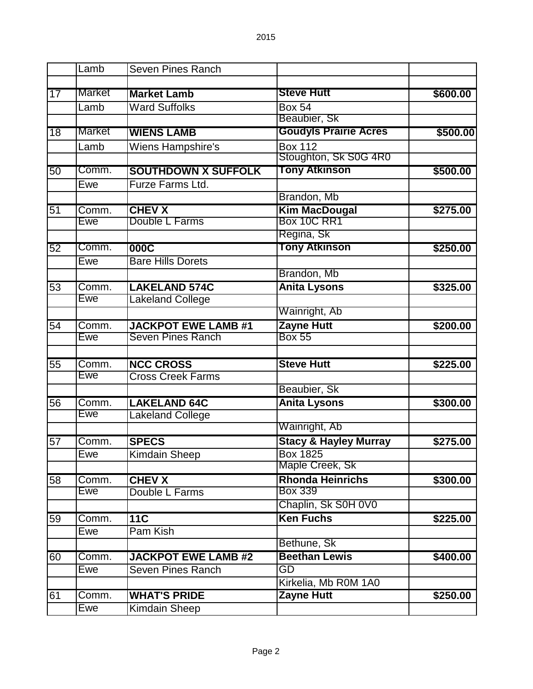|    | Lamb   | Seven Pines Ranch          |                                  |          |
|----|--------|----------------------------|----------------------------------|----------|
|    |        |                            |                                  |          |
| 17 | Market | <b>Market Lamb</b>         | <b>Steve Hutt</b>                | \$600.00 |
|    | Lamb   | <b>Ward Suffolks</b>       | <b>Box 54</b>                    |          |
|    |        |                            | Beaubier, Sk                     |          |
| 18 | Market | <b>WIENS LAMB</b>          | <b>Goudyls Prairie Acres</b>     | \$500.00 |
|    | Lamb   | <b>Wiens Hampshire's</b>   | <b>Box 112</b>                   |          |
|    |        |                            | Stoughton, Sk S0G 4R0            |          |
| 50 | Comm.  | <b>SOUTHDOWN X SUFFOLK</b> | <b>Tony Atkinson</b>             | \$500.00 |
|    | Ewe    | Furze Farms Ltd.           |                                  |          |
|    |        |                            | Brandon, Mb                      |          |
| 51 | Comm.  | <b>CHEV X</b>              | <b>Kim MacDougal</b>             | \$275.00 |
|    | Ewe    | Double L Farms             | <b>Box 10C RR1</b>               |          |
|    |        |                            | Regina, Sk                       |          |
| 52 | Comm.  | 000C                       | <b>Tony Atkinson</b>             | \$250.00 |
|    | Ewe    | <b>Bare Hills Dorets</b>   |                                  |          |
|    |        |                            | Brandon, Mb                      |          |
| 53 | Comm.  | <b>LAKELAND 574C</b>       | <b>Anita Lysons</b>              | \$325.00 |
|    | Ewe    | <b>Lakeland College</b>    |                                  |          |
|    |        |                            | Wainright, Ab                    |          |
| 54 | Comm.  | <b>JACKPOT EWE LAMB #1</b> | <b>Zayne Hutt</b>                | \$200.00 |
|    | Ewe    | <b>Seven Pines Ranch</b>   | <b>Box 55</b>                    |          |
|    |        |                            |                                  |          |
| 55 | Comm.  | <b>NCC CROSS</b>           | <b>Steve Hutt</b>                | \$225.00 |
|    | Ewe    | <b>Cross Creek Farms</b>   |                                  |          |
|    |        |                            | <b>Beaubier, Sk</b>              |          |
| 56 | Comm.  | <b>LAKELAND 64C</b>        | <b>Anita Lysons</b>              | \$300.00 |
|    | Ewe    | <b>Lakeland College</b>    |                                  |          |
|    |        |                            | Wainright, Ab                    |          |
| 57 | Comm.  | <b>SPECS</b>               | <b>Stacy &amp; Hayley Murray</b> | \$275.00 |
|    | Ewe    | Kimdain Sheep              | Box 1825                         |          |
|    |        |                            | Maple Creek, Sk                  |          |
| 58 | Comm.  | <b>CHEV X</b>              | <b>Rhonda Heinrichs</b>          | \$300.00 |
|    | Ewe    | Double L Farms             | Box 339                          |          |
|    |        |                            | Chaplin, Sk SOH 0V0              |          |
| 59 | Comm.  | 11C                        | <b>Ken Fuchs</b>                 | \$225.00 |
|    | Ewe    | Pam Kish                   |                                  |          |
|    |        |                            | Bethune, Sk                      |          |
| 60 | Comm.  | <b>JACKPOT EWE LAMB #2</b> | <b>Beethan Lewis</b>             | \$400.00 |
|    | Ewe    | <b>Seven Pines Ranch</b>   | GD                               |          |
|    |        |                            | Kirkelia, Mb R0M 1A0             |          |
| 61 | Comm.  | <b>WHAT'S PRIDE</b>        | <b>Zayne Hutt</b>                | \$250.00 |
|    | Ewe    | <b>Kimdain Sheep</b>       |                                  |          |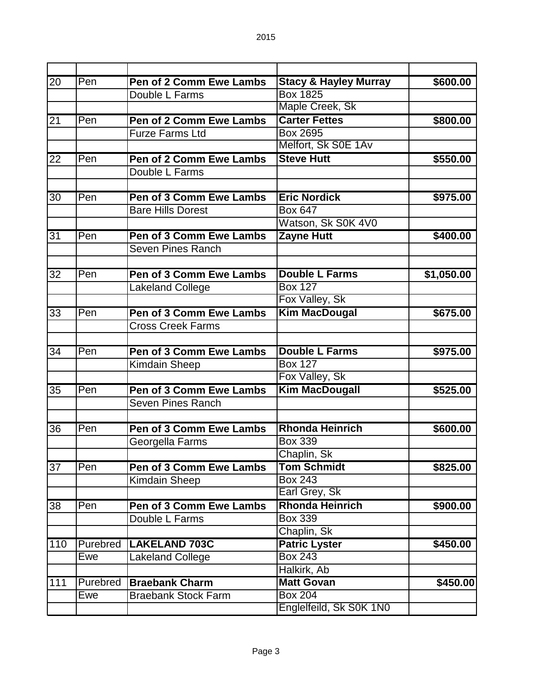| $\overline{20}$ | Pen      | <b>Pen of 2 Comm Ewe Lambs</b> | <b>Stacy &amp; Hayley Murray</b> | \$600.00   |  |
|-----------------|----------|--------------------------------|----------------------------------|------------|--|
|                 |          | Double L Farms                 | <b>Box 1825</b>                  |            |  |
|                 |          |                                | Maple Creek, Sk                  |            |  |
| $\overline{21}$ | Pen      | <b>Pen of 2 Comm Ewe Lambs</b> | <b>Carter Fettes</b>             | \$800.00   |  |
|                 |          | <b>Furze Farms Ltd</b>         | Box 2695                         |            |  |
|                 |          |                                | Melfort, Sk S0E 1Av              |            |  |
| $\overline{22}$ | Pen      | <b>Pen of 2 Comm Ewe Lambs</b> | <b>Steve Hutt</b>                | \$550.00   |  |
|                 |          | Double L Farms                 |                                  |            |  |
|                 |          |                                |                                  |            |  |
| $\overline{30}$ | Pen      | <b>Pen of 3 Comm Ewe Lambs</b> | <b>Eric Nordick</b>              | \$975.00   |  |
|                 |          | <b>Bare Hills Dorest</b>       | Box 647                          |            |  |
|                 |          |                                | Watson, Sk S0K 4V0               |            |  |
| $\overline{31}$ | Pen      | <b>Pen of 3 Comm Ewe Lambs</b> | <b>Zayne Hutt</b>                | \$400.00   |  |
|                 |          | <b>Seven Pines Ranch</b>       |                                  |            |  |
|                 |          |                                |                                  |            |  |
| $\overline{32}$ | Pen      | Pen of 3 Comm Ewe Lambs        | <b>Double L Farms</b>            | \$1,050.00 |  |
|                 |          | Lakeland College               | <b>Box 127</b>                   |            |  |
|                 |          |                                | Fox Valley, Sk                   |            |  |
| $\overline{33}$ | Pen      | <b>Pen of 3 Comm Ewe Lambs</b> | <b>Kim MacDougal</b>             | \$675.00   |  |
|                 |          | <b>Cross Creek Farms</b>       |                                  |            |  |
|                 |          |                                |                                  |            |  |
| $\overline{34}$ | Pen      | <b>Pen of 3 Comm Ewe Lambs</b> | <b>Double L Farms</b>            | \$975.00   |  |
|                 |          | <b>Kimdain Sheep</b>           | <b>Box 127</b>                   |            |  |
|                 |          |                                | Fox Valley, Sk                   |            |  |
| $\overline{35}$ | Pen      | <b>Pen of 3 Comm Ewe Lambs</b> | <b>Kim MacDougall</b>            | \$525.00   |  |
|                 |          | <b>Seven Pines Ranch</b>       |                                  |            |  |
|                 |          |                                |                                  |            |  |
| $\overline{36}$ | Pen      | <b>Pen of 3 Comm Ewe Lambs</b> | <b>Rhonda Heinrich</b>           | \$600.00   |  |
|                 |          | Georgella Farms                | <b>Box 339</b>                   |            |  |
|                 |          |                                | Chaplin, Sk                      |            |  |
| 37              | Pen      | Pen of 3 Comm Ewe Lambs        | <b>Tom Schmidt</b>               | \$825.00   |  |
|                 |          | <b>Kimdain Sheep</b>           | <b>Box 243</b>                   |            |  |
|                 |          |                                | Earl Grey, Sk                    |            |  |
| $\overline{38}$ | Pen      | <b>Pen of 3 Comm Ewe Lambs</b> | Rhonda Heinrich                  | \$900.00   |  |
|                 |          | Double L Farms                 | <b>Box 339</b>                   |            |  |
|                 |          |                                | Chaplin, Sk                      |            |  |
| 110             | Purebred | <b>LAKELAND 703C</b>           | <b>Patric Lyster</b>             | \$450.00   |  |
|                 | Ewe      | Lakeland College               | <b>Box 243</b>                   |            |  |
|                 |          |                                | Halkirk, Ab                      |            |  |
| 111             | Purebred | <b>Braebank Charm</b>          | <b>Matt Govan</b>                | \$450.00   |  |
|                 | Ewe      | <b>Braebank Stock Farm</b>     | <b>Box 204</b>                   |            |  |
|                 |          |                                |                                  |            |  |

Englelfeild, Sk S0K 1N0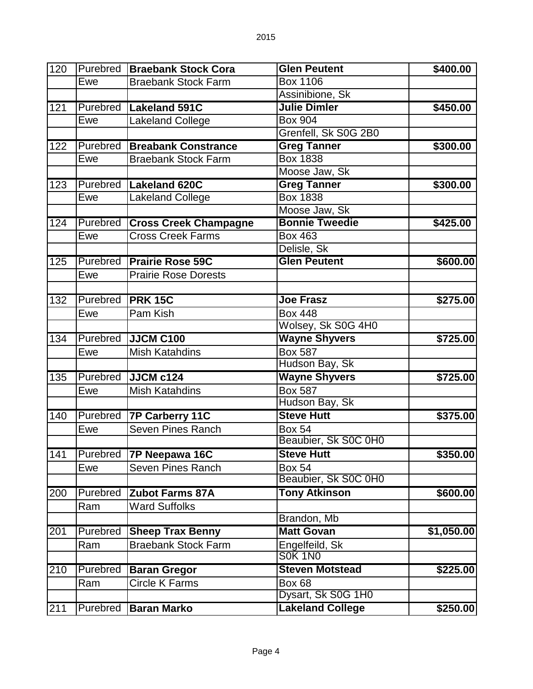| $\overline{1}20$ |          | <b>Purebred Braebank Stock Cora</b> | <b>Glen Peutent</b>     | \$400.00   |
|------------------|----------|-------------------------------------|-------------------------|------------|
|                  | Ewe      | <b>Braebank Stock Farm</b>          | <b>Box 1106</b>         |            |
|                  |          |                                     | Assinibione, Sk         |            |
| 121              | Purebred | <b>Lakeland 591C</b>                | <b>Julie Dimler</b>     | \$450.00   |
|                  | Ewe      | Lakeland College                    | <b>Box 904</b>          |            |
|                  |          |                                     | Grenfell, Sk S0G 2B0    |            |
| 122              | Purebred | <b>Breabank Constrance</b>          | <b>Greg Tanner</b>      | \$300.00   |
|                  | Ewe      | <b>Braebank Stock Farm</b>          | <b>Box 1838</b>         |            |
|                  |          |                                     | Moose Jaw, Sk           |            |
| 123              |          | Purebred   Lakeland 620C            | <b>Greg Tanner</b>      | \$300.00   |
|                  | Ewe      | <b>Lakeland College</b>             | <b>Box 1838</b>         |            |
|                  |          |                                     | Moose Jaw, Sk           |            |
| 124              | Purebred | <b>Cross Creek Champagne</b>        | <b>Bonnie Tweedie</b>   | \$425.00   |
|                  | Ewe      | <b>Cross Creek Farms</b>            | <b>Box 463</b>          |            |
|                  |          |                                     | Delisle, Sk             |            |
| 125              | Purebred | <b>Prairie Rose 59C</b>             | <b>Glen Peutent</b>     | \$600.00   |
|                  | Ewe      | <b>Prairie Rose Dorests</b>         |                         |            |
|                  |          |                                     |                         |            |
| 132              | Purebred | <b>PRK15C</b>                       | <b>Joe Frasz</b>        | \$275.00   |
|                  | Ewe      | Pam Kish                            | <b>Box 448</b>          |            |
|                  |          |                                     | Wolsey, Sk S0G 4H0      |            |
| 134              |          | Purebred JJCM C100                  | <b>Wayne Shyvers</b>    | \$725.00   |
|                  | Ewe      | <b>Mish Katahdins</b>               | <b>Box 587</b>          |            |
|                  |          |                                     | Hudson Bay, Sk          |            |
| 135              | Purebred | JJCM c124                           | <b>Wayne Shyvers</b>    | \$725.00   |
|                  | Ewe      | <b>Mish Katahdins</b>               | <b>Box 587</b>          |            |
|                  |          |                                     | Hudson Bay, Sk          |            |
| 140              | Purebred | <b>7P Carberry 11C</b>              | <b>Steve Hutt</b>       | \$375.00   |
|                  | Ewe      | Seven Pines Ranch                   | <b>Box 54</b>           |            |
|                  |          |                                     | Beaubier, Sk S0C 0H0    |            |
|                  |          | 141 Purebred 7P Neepawa 16C         | <b>Steve Hutt</b>       | \$350.00   |
|                  | Ewe      | Seven Pines Ranch                   | <b>Box 54</b>           |            |
|                  |          |                                     | Beaubier, Sk S0C 0H0    |            |
| 200              | Purebred | <b>Zubot Farms 87A</b>              | <b>Tony Atkinson</b>    | \$600.00   |
|                  | Ram      | <b>Ward Suffolks</b>                |                         |            |
|                  |          |                                     | Brandon, Mb             |            |
| 201              | Purebred | <b>Sheep Trax Benny</b>             | <b>Matt Govan</b>       | \$1,050.00 |
|                  | Ram      | <b>Braebank Stock Farm</b>          | Engelfeild, Sk          |            |
|                  |          |                                     | <b>S0K 1N0</b>          |            |
| 210              | Purebred | <b>Baran Gregor</b>                 | <b>Steven Motstead</b>  | \$225.00   |
|                  | Ram      | Circle K Farms                      | <b>Box 68</b>           |            |
|                  |          |                                     | Dysart, Sk S0G 1H0      |            |
| 211              |          | Purebred Baran Marko                | <b>Lakeland College</b> | \$250.00   |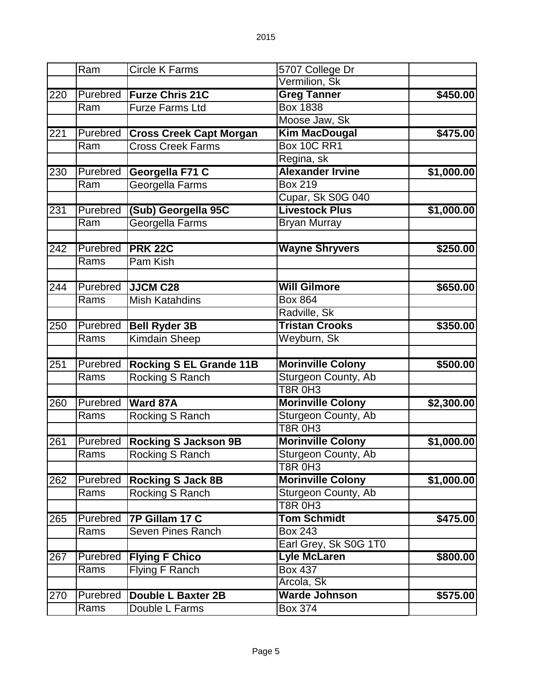|     | Ram      | <b>Circle K Farms</b>           | 5707 College Dr          |                        |
|-----|----------|---------------------------------|--------------------------|------------------------|
|     |          |                                 | Vermilion, Sk            |                        |
| 220 |          | <b>Purebred Furze Chris 21C</b> | <b>Greg Tanner</b>       | \$450.00               |
|     | Ram      | <b>Furze Farms Ltd</b>          | <b>Box 1838</b>          |                        |
|     |          |                                 | Moose Jaw, Sk            |                        |
| 221 | Purebred | <b>Cross Creek Capt Morgan</b>  | <b>Kim MacDougal</b>     | \$475.00               |
|     | Ram      | <b>Cross Creek Farms</b>        | <b>Box 10C RR1</b>       |                        |
|     |          |                                 | Regina, sk               |                        |
| 230 | Purebred | Georgella F71 C                 | <b>Alexander Irvine</b>  | \$1,000.00             |
|     | Ram      | Georgella Farms                 | <b>Box 219</b>           |                        |
|     |          |                                 | Cupar, Sk S0G 040        |                        |
| 231 | Purebred | (Sub) Georgella 95C             | <b>Livestock Plus</b>    | \$1,000.00             |
|     | Ram      | Georgella Farms                 | <b>Bryan Murray</b>      |                        |
|     |          |                                 |                          |                        |
| 242 | Purebred | <b>PRK 22C</b>                  | <b>Wayne Shryvers</b>    | \$250.00               |
|     | Rams     | Pam Kish                        |                          |                        |
| 244 |          | Purebred JJCM C28               | <b>Will Gilmore</b>      | \$650.00               |
|     | Rams     | <b>Mish Katahdins</b>           | <b>Box 864</b>           |                        |
|     |          |                                 | Radville, Sk             |                        |
| 250 | Purebred | <b>Bell Ryder 3B</b>            | <b>Tristan Crooks</b>    | \$350.00               |
|     | Rams     | <b>Kimdain Sheep</b>            | Weyburn, Sk              |                        |
|     |          |                                 |                          |                        |
| 251 | Purebred | <b>Rocking S EL Grande 11B</b>  | <b>Morinville Colony</b> | \$500.00               |
|     | Rams     | Rocking S Ranch                 | Sturgeon County, Ab      |                        |
|     |          |                                 | <b>T8R 0H3</b>           |                        |
| 260 | Purebred | <b>Ward 87A</b>                 | <b>Morinville Colony</b> | \$2,300.00             |
|     | Rams     | Rocking S Ranch                 | Sturgeon County, Ab      |                        |
|     |          |                                 | <b>T8R 0H3</b>           |                        |
| 261 |          | Purebred   Rocking S Jackson 9B | <b>Morinville Colony</b> | $\overline{$1,000.00}$ |
|     | Rams     | Rocking S Ranch                 | Sturgeon County, Ab      |                        |
|     |          |                                 | <b>T8R 0H3</b>           |                        |
| 262 | Purebred | <b>Rocking S Jack 8B</b>        | <b>Morinville Colony</b> | \$1,000.00             |
|     | Rams     | Rocking S Ranch                 | Sturgeon County, Ab      |                        |
|     |          |                                 | <b>T8R 0H3</b>           |                        |
| 265 | Purebred | 7P Gillam 17 C                  | <b>Tom Schmidt</b>       | \$475.00               |
|     | Rams     | Seven Pines Ranch               | <b>Box 243</b>           |                        |
|     |          |                                 | Earl Grey, Sk S0G 1T0    |                        |
| 267 | Purebred | <b>Flying F Chico</b>           | <b>Lyle McLaren</b>      | \$800.00               |
|     | Rams     | <b>Flying F Ranch</b>           | <b>Box 437</b>           |                        |
|     |          |                                 | Arcola, Sk               |                        |
| 270 | Purebred | <b>Double L Baxter 2B</b>       | <b>Warde Johnson</b>     | \$575.00               |
|     | Rams     | Double L Farms                  | <b>Box 374</b>           |                        |